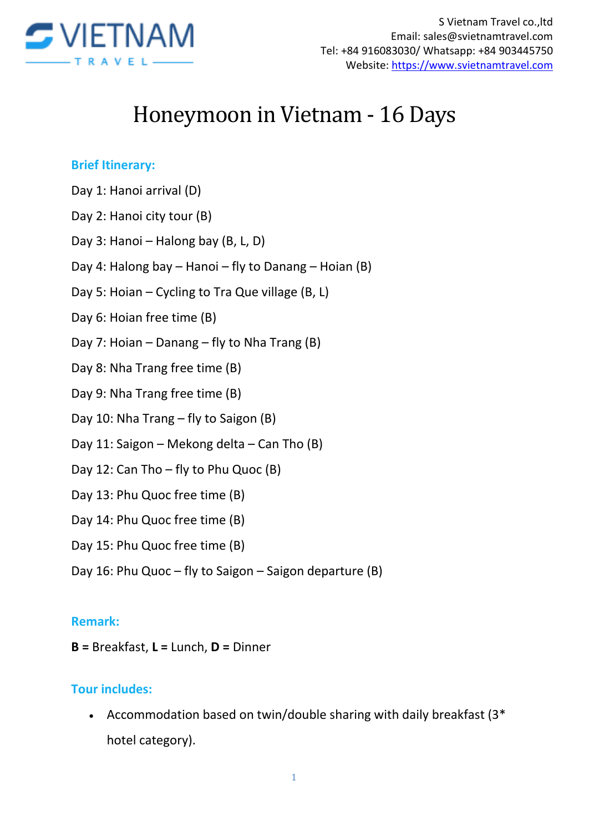

# Honeymoon in Vietnam - 16 Days

#### **Brief Itinerary:**

- Day 1: Hanoi arrival (D)
- Day 2: Hanoi city tour (B)
- Day 3: Hanoi Halong bay (B, L, D)
- Day 4: Halong bay Hanoi fly to Danang Hoian (B)
- Day 5: Hoian Cycling to Tra Que village (B, L)
- Day 6: Hoian free time (B)
- Day 7: Hoian Danang fly to Nha Trang (B)
- Day 8: Nha Trang free time (B)
- Day 9: Nha Trang free time (B)
- Day 10: Nha Trang fly to Saigon (B)
- Day 11: Saigon Mekong delta Can Tho (B)
- Day 12: Can Tho fly to Phu Quoc (B)
- Day 13: Phu Quoc free time (B)
- Day 14: Phu Quoc free time (B)
- Day 15: Phu Quoc free time (B)
- Day 16: Phu Quoc fly to Saigon Saigon departure (B)

#### **Remark:**

**B =** Breakfast, **L =** Lunch, **D =** Dinner

#### **Tour includes:**

 Accommodation based on twin/double sharing with daily breakfast (3\* hotel category).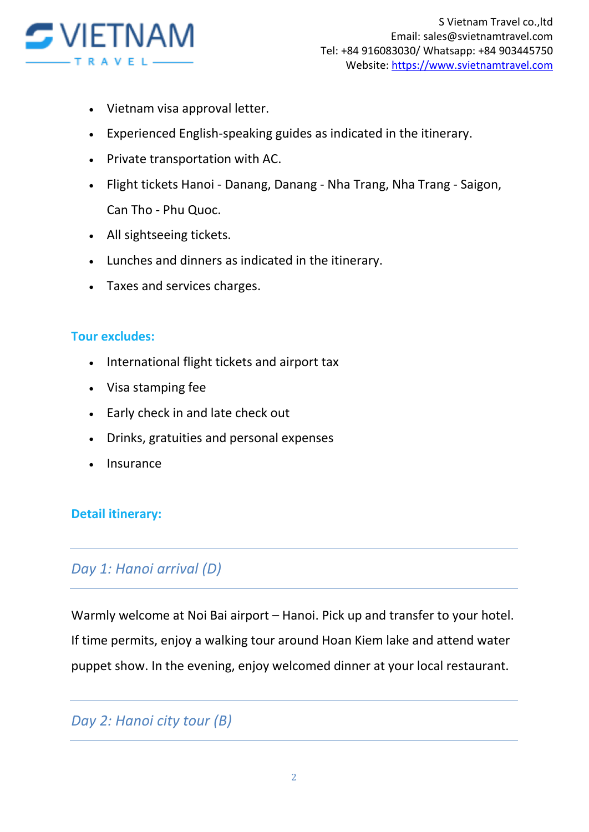

- Vietnam visa approval letter.
- Experienced English-speaking guides as indicated in the itinerary.
- Private transportation with AC.
- Flight tickets Hanoi Danang, Danang Nha Trang, Nha Trang Saigon, Can Tho - Phu Quoc.
- All sightseeing tickets.
- Lunches and dinners as indicated in the itinerary.
- Taxes and services charges.

#### **Tour excludes:**

- International flight tickets and airport tax
- Visa stamping fee
- Early check in and late check out
- Drinks, gratuities and personal expenses
- Insurance

### **Detail itinerary:**

### *Day 1: Hanoi arrival (D)*

Warmly welcome at Noi Bai airport – Hanoi. Pick up and transfer to your hotel. If time permits, enjoy a walking tour around Hoan Kiem lake and attend water puppet show. In the evening, enjoy welcomed dinner at your local restaurant.

# *Day 2: Hanoi city tour (B)*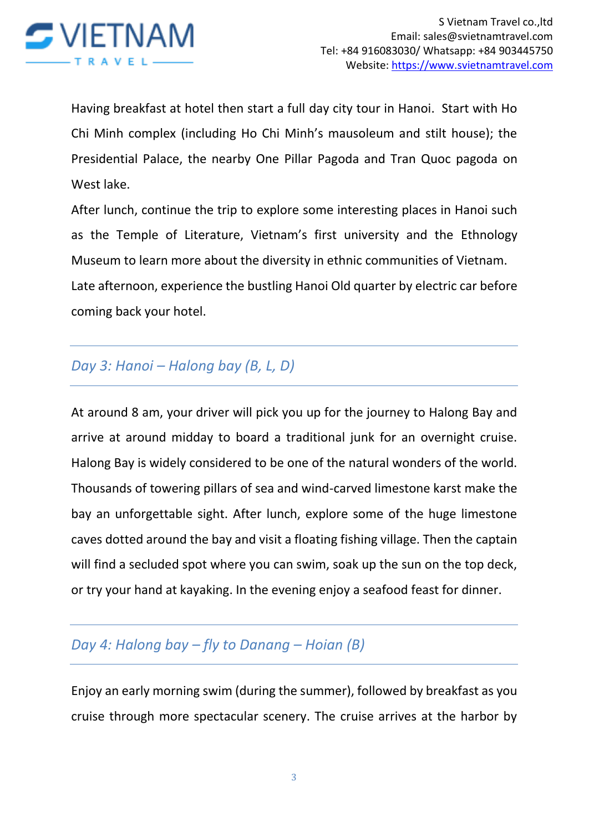

Having breakfast at hotel then start a full day city tour in Hanoi. Start with Ho Chi Minh complex (including Ho Chi Minh's mausoleum and stilt house); the Presidential Palace, the nearby One Pillar Pagoda and Tran Quoc pagoda on West lake.

After lunch, continue the trip to explore some interesting places in Hanoi such as the Temple of Literature, Vietnam's first university and the Ethnology Museum to learn more about the diversity in ethnic communities of Vietnam. Late afternoon, experience the bustling Hanoi Old quarter by electric car before coming back your hotel.

# *Day 3: Hanoi – Halong bay (B, L, D)*

At around 8 am, your driver will pick you up for the journey to Halong Bay and arrive at around midday to board a traditional junk for an overnight cruise. Halong Bay is widely considered to be one of the natural wonders of the world. Thousands of towering pillars of sea and wind-carved limestone karst make the bay an unforgettable sight. After lunch, explore some of the huge limestone caves dotted around the bay and visit a floating fishing village. Then the captain will find a secluded spot where you can swim, soak up the sun on the top deck, or try your hand at kayaking. In the evening enjoy a seafood feast for dinner.

# *Day 4: Halong bay – fly to Danang – Hoian (B)*

Enjoy an early morning swim (during the summer), followed by breakfast as you cruise through more spectacular scenery. The cruise arrives at the harbor by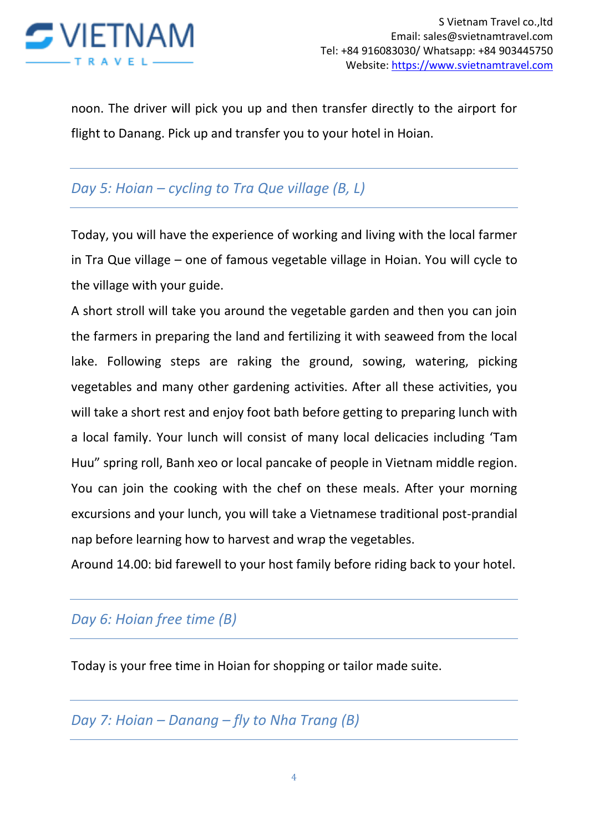

noon. The driver will pick you up and then transfer directly to the airport for flight to Danang. Pick up and transfer you to your hotel in Hoian.

# *Day 5: Hoian – cycling to Tra Que village (B, L)*

Today, you will have the experience of working and living with the local farmer in Tra Que village – one of famous vegetable village in Hoian. You will cycle to the village with your guide.

A short stroll will take you around the vegetable garden and then you can join the farmers in preparing the land and fertilizing it with seaweed from the local lake. Following steps are raking the ground, sowing, watering, picking vegetables and many other gardening activities. After all these activities, you will take a short rest and enjoy foot bath before getting to preparing lunch with a local family. Your lunch will consist of many local delicacies including 'Tam Huu" spring roll, Banh xeo or local pancake of people in Vietnam middle region. You can join the cooking with the chef on these meals. After your morning excursions and your lunch, you will take a Vietnamese traditional post-prandial nap before learning how to harvest and wrap the vegetables.

Around 14.00: bid farewell to your host family before riding back to your hotel.

### *Day 6: Hoian free time (B)*

Today is your free time in Hoian for shopping or tailor made suite.

*Day 7: Hoian – Danang – fly to Nha Trang (B)*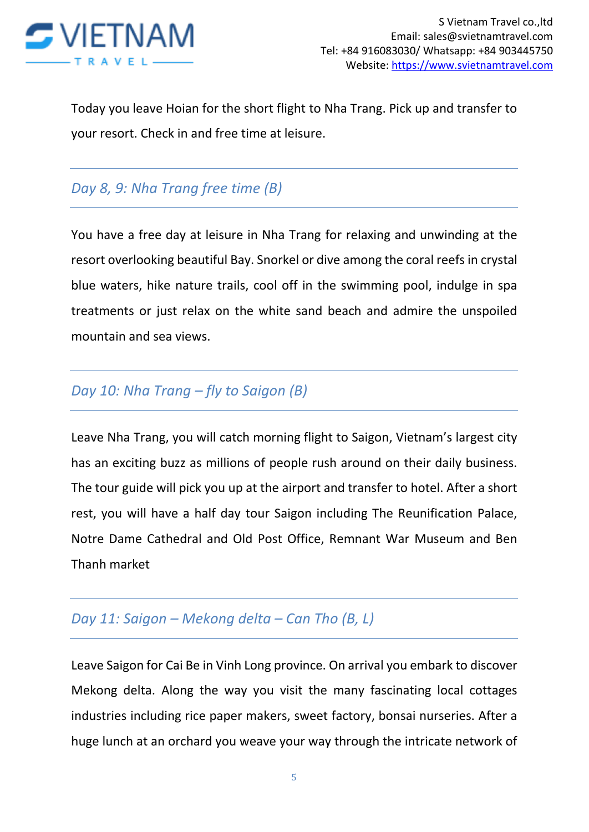![](_page_4_Picture_0.jpeg)

Today you leave Hoian for the short flight to Nha Trang. Pick up and transfer to your resort. Check in and free time at leisure.

# *Day 8, 9: Nha Trang free time (B)*

You have a free day at leisure in Nha Trang for relaxing and unwinding at the resort overlooking beautiful Bay. Snorkel or dive among the coral reefs in crystal blue waters, hike nature trails, cool off in the swimming pool, indulge in spa treatments or just relax on the white sand beach and admire the unspoiled mountain and sea views.

### *Day 10: Nha Trang – fly to Saigon (B)*

Leave Nha Trang, you will catch morning flight to Saigon, Vietnam's largest city has an exciting buzz as millions of people rush around on their daily business. The tour guide will pick you up at the airport and transfer to hotel. After a short rest, you will have a half day tour Saigon including The Reunification Palace, Notre Dame Cathedral and Old Post Office, Remnant War Museum and Ben Thanh market

# *Day 11: Saigon – Mekong delta – Can Tho (B, L)*

Leave Saigon for Cai Be in Vinh Long province. On arrival you embark to discover Mekong delta. Along the way you visit the many fascinating local cottages industries including rice paper makers, sweet factory, bonsai nurseries. After a huge lunch at an orchard you weave your way through the intricate network of